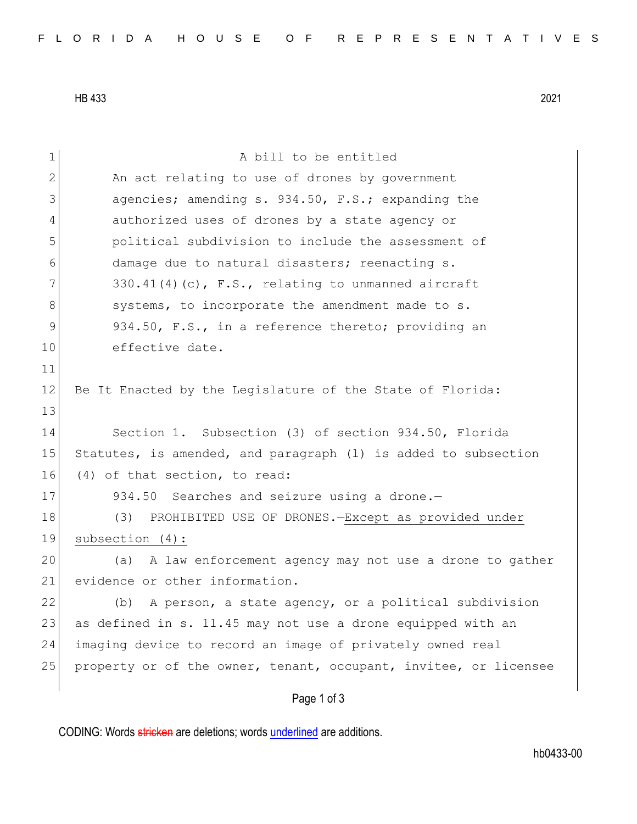HB 433 2021

| $\mathbf 1$    | A bill to be entitled                                            |
|----------------|------------------------------------------------------------------|
| $\mathbf{2}$   | An act relating to use of drones by government                   |
| 3              | agencies; amending s. 934.50, F.S.; expanding the                |
| $\overline{4}$ | authorized uses of drones by a state agency or                   |
| 5              | political subdivision to include the assessment of               |
| 6              | damage due to natural disasters; reenacting s.                   |
| 7              | 330.41(4)(c), F.S., relating to unmanned aircraft                |
| $8\,$          | systems, to incorporate the amendment made to s.                 |
| $\mathsf 9$    | 934.50, F.S., in a reference thereto; providing an               |
| 10             | effective date.                                                  |
| 11             |                                                                  |
| 12             | Be It Enacted by the Legislature of the State of Florida:        |
| 13             |                                                                  |
| 14             | Section 1. Subsection (3) of section 934.50, Florida             |
| 15             | Statutes, is amended, and paragraph (1) is added to subsection   |
| 16             | (4) of that section, to read:                                    |
| 17             | 934.50 Searches and seizure using a drone.-                      |
| 18             | (3)<br>PROHIBITED USE OF DRONES. - Except as provided under      |
| 19             | subsection (4):                                                  |
| 20             | (a) A law enforcement agency may not use a drone to gather       |
| 21             | evidence or other information.                                   |
| 22             | A person, a state agency, or a political subdivision<br>(b)      |
| 23             | as defined in s. 11.45 may not use a drone equipped with an      |
| 24             | imaging device to record an image of privately owned real        |
| 25             | property or of the owner, tenant, occupant, invitee, or licensee |
|                | Page 1 of 3                                                      |

CODING: Words stricken are deletions; words underlined are additions.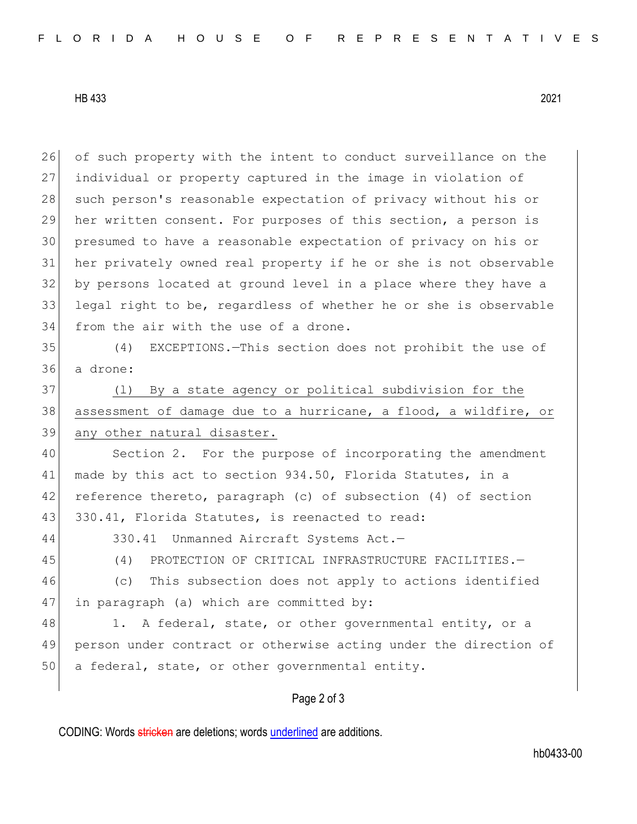HB 433 2021

26 of such property with the intent to conduct surveillance on the individual or property captured in the image in violation of 28 such person's reasonable expectation of privacy without his or her written consent. For purposes of this section, a person is presumed to have a reasonable expectation of privacy on his or her privately owned real property if he or she is not observable by persons located at ground level in a place where they have a legal right to be, regardless of whether he or she is observable 34 from the air with the use of a drone.

35 (4) EXCEPTIONS.—This section does not prohibit the use of 36 a drone:

37 (l) By a state agency or political subdivision for the 38 assessment of damage due to a hurricane, a flood, a wildfire, or 39 any other natural disaster.

40 Section 2. For the purpose of incorporating the amendment 41 made by this act to section 934.50, Florida Statutes, in a 42 reference thereto, paragraph (c) of subsection (4) of section 43 330.41, Florida Statutes, is reenacted to read:

44 330.41 Unmanned Aircraft Systems Act.—

45 (4) PROTECTION OF CRITICAL INFRASTRUCTURE FACILITIES.

46 (c) This subsection does not apply to actions identified 47 in paragraph (a) which are committed by:

48 1. A federal, state, or other governmental entity, or a 49 person under contract or otherwise acting under the direction of 50 a federal, state, or other governmental entity.

## Page 2 of 3

CODING: Words stricken are deletions; words underlined are additions.